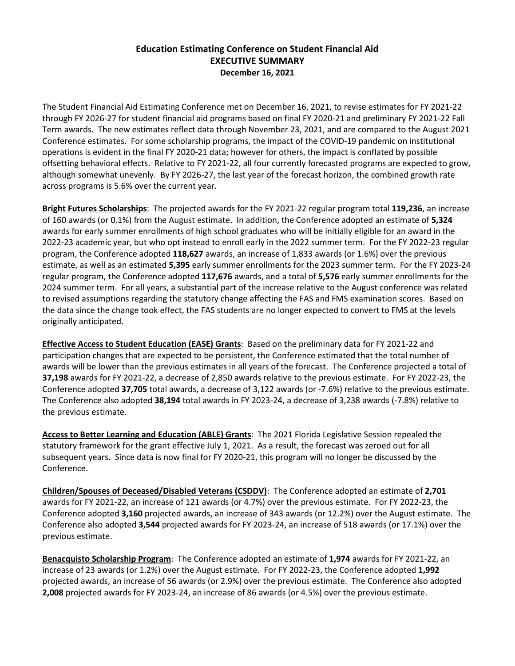## **Education Estimating Conference on Student Financial Aid EXECUTIVE SUMMARY December 16, 2021**

The Student Financial Aid Estimating Conference met on December 16, 2021, to revise estimates for FY 2021-22 through FY 2026-27 for student financial aid programs based on final FY 2020-21 and preliminary FY 2021-22 Fall Term awards. The new estimates reflect data through November 23, 2021, and are compared to the August 2021 Conference estimates. For some scholarship programs, the impact of the COVID-19 pandemic on institutional operations is evident in the final FY 2020-21 data; however for others, the impact is conflated by possible offsetting behavioral effects. Relative to FY 2021-22, all four currently forecasted programs are expected to grow, although somewhat unevenly. By FY 2026-27, the last year of the forecast horizon, the combined growth rate across programs is 5.6% over the current year.

**Bright Futures Scholarships**: The projected awards for the FY 2021-22 regular program total **119,236**, an increase of 160 awards (or 0.1%) from the August estimate. In addition, the Conference adopted an estimate of **5,324** awards for early summer enrollments of high school graduates who will be initially eligible for an award in the 2022-23 academic year, but who opt instead to enroll early in the 2022 summer term. For the FY 2022-23 regular program, the Conference adopted **118,627** awards, an increase of 1,833 awards (or 1.6%) over the previous estimate, as well as an estimated **5,395** early summer enrollments for the 2023 summer term. For the FY 2023-24 regular program, the Conference adopted **117,676** awards, and a total of **5,576** early summer enrollments for the 2024 summer term. For all years, a substantial part of the increase relative to the August conference was related to revised assumptions regarding the statutory change affecting the FAS and FMS examination scores. Based on the data since the change took effect, the FAS students are no longer expected to convert to FMS at the levels originally anticipated.

**Effective Access to Student Education (EASE) Grants**: Based on the preliminary data for FY 2021-22 and participation changes that are expected to be persistent, the Conference estimated that the total number of awards will be lower than the previous estimates in all years of the forecast. The Conference projected a total of **37,198** awards for FY 2021-22, a decrease of 2,850 awards relative to the previous estimate. For FY 2022-23, the Conference adopted **37,705** total awards, a decrease of 3,122 awards (or -7.6%) relative to the previous estimate. The Conference also adopted **38,194** total awards in FY 2023-24, a decrease of 3,238 awards (-7.8%) relative to the previous estimate.

**Access to Better Learning and Education (ABLE) Grants**: The 2021 Florida Legislative Session repealed the statutory framework for the grant effective July 1, 2021. As a result, the forecast was zeroed out for all subsequent years. Since data is now final for FY 2020-21, this program will no longer be discussed by the Conference.

**Children/Spouses of Deceased/Disabled Veterans (CSDDV)**: The Conference adopted an estimate of **2,701** awards for FY 2021-22, an increase of 121 awards (or 4.7%) over the previous estimate.For FY 2022-23, the Conference adopted **3,160** projected awards, an increase of 343 awards (or 12.2%) over the August estimate. The Conference also adopted **3,544** projected awards for FY 2023-24, an increase of 518 awards (or 17.1%) over the previous estimate.

**Benacquisto Scholarship Program**: The Conference adopted an estimate of **1,974** awards for FY 2021-22, an increase of 23 awards (or 1.2%) over the August estimate.For FY 2022-23, the Conference adopted **1,992** projected awards, an increase of 56 awards (or 2.9%) over the previous estimate. The Conference also adopted **2,008** projected awards for FY 2023-24, an increase of 86 awards (or 4.5%) over the previous estimate.